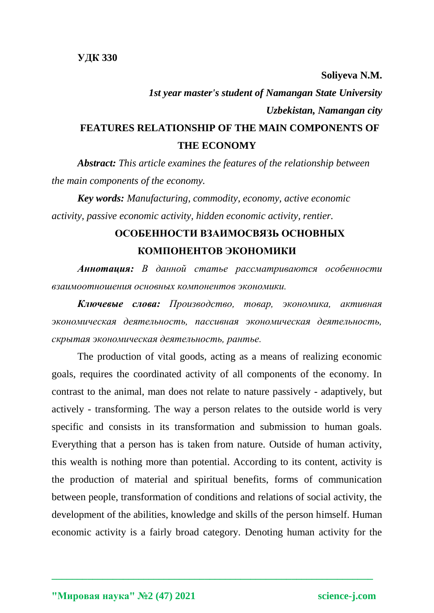## **Soliyeva N.M.** *1st year master's student of Namangan State University Uzbekistan, Namangan city* **FEATURES RELATIONSHIP OF THE MAIN COMPONENTS OF THE ECONOMY**

*Abstract: This article examines the features of the relationship between the main components of the economy.*

*Key words: Manufacturing, commodity, economy, active economic activity, passive economic activity, hidden economic activity, rentier.*

## **ОСОБЕННОСТИ ВЗАИМОСВЯЗЬ ОСНОВНЫХ КОМПОНЕНТОВ ЭКОНОМИКИ**

*Аннотация: В данной статье рассматриваются особенности взаимоотношения основных компонентов экономики.*

*Ключевые слова: Производство, товар, экономика, активная экономическая деятельность, пассивная экономическая деятельность, скрытая экономическая деятельность, рантье.*

The production of vital goods, acting as a means of realizing economic goals, requires the coordinated activity of all components of the economy. In contrast to the animal, man does not relate to nature passively - adaptively, but actively - transforming. The way a person relates to the outside world is very specific and consists in its transformation and submission to human goals. Everything that a person has is taken from nature. Outside of human activity, this wealth is nothing more than potential. According to its content, activity is the production of material and spiritual benefits, forms of communication between people, transformation of conditions and relations of social activity, the development of the abilities, knowledge and skills of the person himself. Human economic activity is a fairly broad category. Denoting human activity for the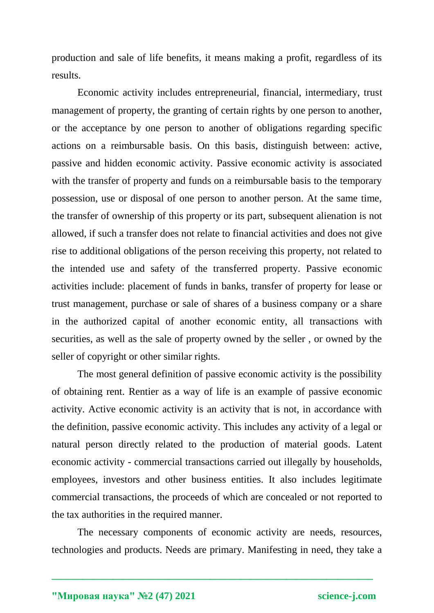production and sale of life benefits, it means making a profit, regardless of its results.

Economic activity includes entrepreneurial, financial, intermediary, trust management of property, the granting of certain rights by one person to another, or the acceptance by one person to another of obligations regarding specific actions on a reimbursable basis. On this basis, distinguish between: active, passive and hidden economic activity. Passive economic activity is associated with the transfer of property and funds on a reimbursable basis to the temporary possession, use or disposal of one person to another person. At the same time, the transfer of ownership of this property or its part, subsequent alienation is not allowed, if such a transfer does not relate to financial activities and does not give rise to additional obligations of the person receiving this property, not related to the intended use and safety of the transferred property. Passive economic activities include: placement of funds in banks, transfer of property for lease or trust management, purchase or sale of shares of a business company or a share in the authorized capital of another economic entity, all transactions with securities, as well as the sale of property owned by the seller , or owned by the seller of copyright or other similar rights.

The most general definition of passive economic activity is the possibility of obtaining rent. Rentier as a way of life is an example of passive economic activity. Active economic activity is an activity that is not, in accordance with the definition, passive economic activity. This includes any activity of a legal or natural person directly related to the production of material goods. Latent economic activity - commercial transactions carried out illegally by households, employees, investors and other business entities. It also includes legitimate commercial transactions, the proceeds of which are concealed or not reported to the tax authorities in the required manner.

The necessary components of economic activity are needs, resources, technologies and products. Needs are primary. Manifesting in need, they take a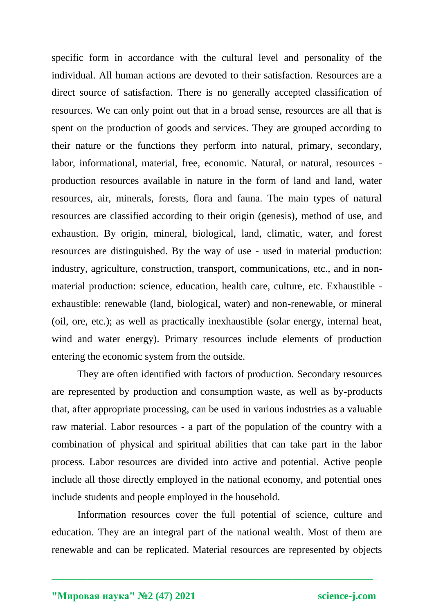specific form in accordance with the cultural level and personality of the individual. All human actions are devoted to their satisfaction. Resources are a direct source of satisfaction. There is no generally accepted classification of resources. We can only point out that in a broad sense, resources are all that is spent on the production of goods and services. They are grouped according to their nature or the functions they perform into natural, primary, secondary, labor, informational, material, free, economic. Natural, or natural, resources production resources available in nature in the form of land and land, water resources, air, minerals, forests, flora and fauna. The main types of natural resources are classified according to their origin (genesis), method of use, and exhaustion. By origin, mineral, biological, land, climatic, water, and forest resources are distinguished. By the way of use - used in material production: industry, agriculture, construction, transport, communications, etc., and in nonmaterial production: science, education, health care, culture, etc. Exhaustible exhaustible: renewable (land, biological, water) and non-renewable, or mineral (oil, ore, etc.); as well as practically inexhaustible (solar energy, internal heat, wind and water energy). Primary resources include elements of production entering the economic system from the outside.

They are often identified with factors of production. Secondary resources are represented by production and consumption waste, as well as by-products that, after appropriate processing, can be used in various industries as a valuable raw material. Labor resources - a part of the population of the country with a combination of physical and spiritual abilities that can take part in the labor process. Labor resources are divided into active and potential. Active people include all those directly employed in the national economy, and potential ones include students and people employed in the household.

Information resources cover the full potential of science, culture and education. They are an integral part of the national wealth. Most of them are renewable and can be replicated. Material resources are represented by objects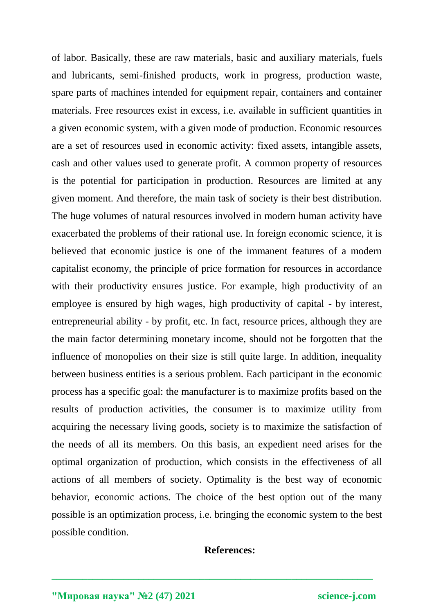of labor. Basically, these are raw materials, basic and auxiliary materials, fuels and lubricants, semi-finished products, work in progress, production waste, spare parts of machines intended for equipment repair, containers and container materials. Free resources exist in excess, i.e. available in sufficient quantities in a given economic system, with a given mode of production. Economic resources are a set of resources used in economic activity: fixed assets, intangible assets, cash and other values used to generate profit. A common property of resources is the potential for participation in production. Resources are limited at any given moment. And therefore, the main task of society is their best distribution. The huge volumes of natural resources involved in modern human activity have exacerbated the problems of their rational use. In foreign economic science, it is believed that economic justice is one of the immanent features of a modern capitalist economy, the principle of price formation for resources in accordance with their productivity ensures justice. For example, high productivity of an employee is ensured by high wages, high productivity of capital - by interest, entrepreneurial ability - by profit, etc. In fact, resource prices, although they are the main factor determining monetary income, should not be forgotten that the influence of monopolies on their size is still quite large. In addition, inequality between business entities is a serious problem. Each participant in the economic process has a specific goal: the manufacturer is to maximize profits based on the results of production activities, the consumer is to maximize utility from acquiring the necessary living goods, society is to maximize the satisfaction of the needs of all its members. On this basis, an expedient need arises for the optimal organization of production, which consists in the effectiveness of all actions of all members of society. Optimality is the best way of economic behavior, economic actions. The choice of the best option out of the many possible is an optimization process, i.e. bringing the economic system to the best possible condition.

## **References:**